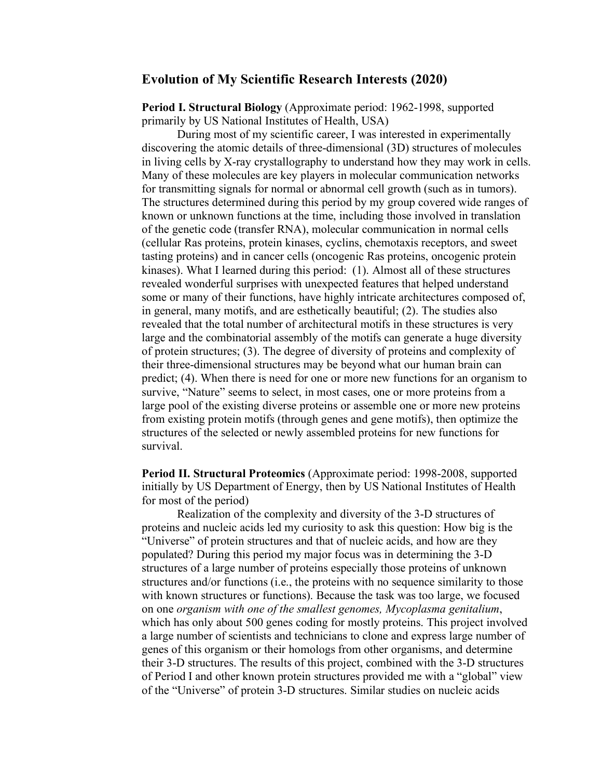## **Evolution of My Scientific Research Interests (2020)**

**Period I. Structural Biology** (Approximate period: 1962-1998, supported primarily by US National Institutes of Health, USA)

During most of my scientific career, I was interested in experimentally discovering the atomic details of three-dimensional (3D) structures of molecules in living cells by X-ray crystallography to understand how they may work in cells. Many of these molecules are key players in molecular communication networks for transmitting signals for normal or abnormal cell growth (such as in tumors). The structures determined during this period by my group covered wide ranges of known or unknown functions at the time, including those involved in translation of the genetic code (transfer RNA), molecular communication in normal cells (cellular Ras proteins, protein kinases, cyclins, chemotaxis receptors, and sweet tasting proteins) and in cancer cells (oncogenic Ras proteins, oncogenic protein kinases). What I learned during this period: (1). Almost all of these structures revealed wonderful surprises with unexpected features that helped understand some or many of their functions, have highly intricate architectures composed of, in general, many motifs, and are esthetically beautiful; (2). The studies also revealed that the total number of architectural motifs in these structures is very large and the combinatorial assembly of the motifs can generate a huge diversity of protein structures; (3). The degree of diversity of proteins and complexity of their three-dimensional structures may be beyond what our human brain can predict; (4). When there is need for one or more new functions for an organism to survive, "Nature" seems to select, in most cases, one or more proteins from a large pool of the existing diverse proteins or assemble one or more new proteins from existing protein motifs (through genes and gene motifs), then optimize the structures of the selected or newly assembled proteins for new functions for survival.

**Period II. Structural Proteomics** (Approximate period: 1998-2008, supported initially by US Department of Energy, then by US National Institutes of Health for most of the period)

Realization of the complexity and diversity of the 3-D structures of proteins and nucleic acids led my curiosity to ask this question: How big is the "Universe" of protein structures and that of nucleic acids, and how are they populated? During this period my major focus was in determining the 3-D structures of a large number of proteins especially those proteins of unknown structures and/or functions (i.e., the proteins with no sequence similarity to those with known structures or functions). Because the task was too large, we focused on one *organism with one of the smallest genomes, Mycoplasma genitalium*, which has only about 500 genes coding for mostly proteins. This project involved a large number of scientists and technicians to clone and express large number of genes of this organism or their homologs from other organisms, and determine their 3-D structures. The results of this project, combined with the 3-D structures of Period I and other known protein structures provided me with a "global" view of the "Universe" of protein 3-D structures. Similar studies on nucleic acids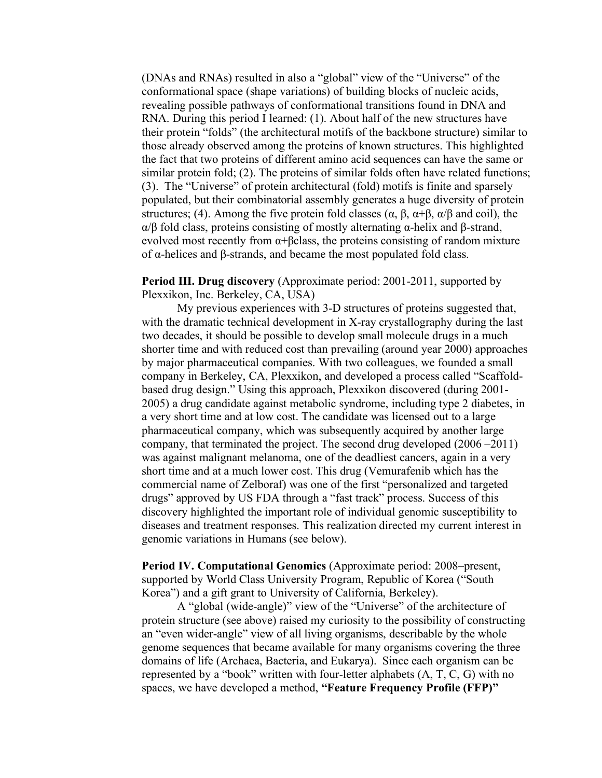(DNAs and RNAs) resulted in also a "global" view of the "Universe" of the conformational space (shape variations) of building blocks of nucleic acids, revealing possible pathways of conformational transitions found in DNA and RNA. During this period I learned: (1). About half of the new structures have their protein "folds" (the architectural motifs of the backbone structure) similar to those already observed among the proteins of known structures. This highlighted the fact that two proteins of different amino acid sequences can have the same or similar protein fold; (2). The proteins of similar folds often have related functions; (3). The "Universe" of protein architectural (fold) motifs is finite and sparsely populated, but their combinatorial assembly generates a huge diversity of protein structures; (4). Among the five protein fold classes ( $\alpha$ ,  $\beta$ ,  $\alpha+\beta$ ,  $\alpha/\beta$  and coil), the α/β fold class, proteins consisting of mostly alternating α-helix and β-strand, evolved most recently from  $\alpha$ + $\beta$ class, the proteins consisting of random mixture of α-helices and β-strands, and became the most populated fold class.

**Period III. Drug discovery** (Approximate period: 2001-2011, supported by Plexxikon, Inc. Berkeley, CA, USA)

My previous experiences with 3-D structures of proteins suggested that, with the dramatic technical development in X-ray crystallography during the last two decades, it should be possible to develop small molecule drugs in a much shorter time and with reduced cost than prevailing (around year 2000) approaches by major pharmaceutical companies. With two colleagues, we founded a small company in Berkeley, CA, Plexxikon, and developed a process called "Scaffoldbased drug design." Using this approach, Plexxikon discovered (during 2001- 2005) a drug candidate against metabolic syndrome, including type 2 diabetes, in a very short time and at low cost. The candidate was licensed out to a large pharmaceutical company, which was subsequently acquired by another large company, that terminated the project. The second drug developed (2006 –2011) was against malignant melanoma, one of the deadliest cancers, again in a very short time and at a much lower cost. This drug (Vemurafenib which has the commercial name of Zelboraf) was one of the first "personalized and targeted drugs" approved by US FDA through a "fast track" process. Success of this discovery highlighted the important role of individual genomic susceptibility to diseases and treatment responses. This realization directed my current interest in genomic variations in Humans (see below).

**Period IV. Computational Genomics** (Approximate period: 2008–present, supported by World Class University Program, Republic of Korea ("South Korea") and a gift grant to University of California, Berkeley).

A "global (wide-angle)" view of the "Universe" of the architecture of protein structure (see above) raised my curiosity to the possibility of constructing an "even wider-angle" view of all living organisms, describable by the whole genome sequences that became available for many organisms covering the three domains of life (Archaea, Bacteria, and Eukarya). Since each organism can be represented by a "book" written with four-letter alphabets (A, T, C, G) with no spaces, we have developed a method, **"Feature Frequency Profile (FFP)"**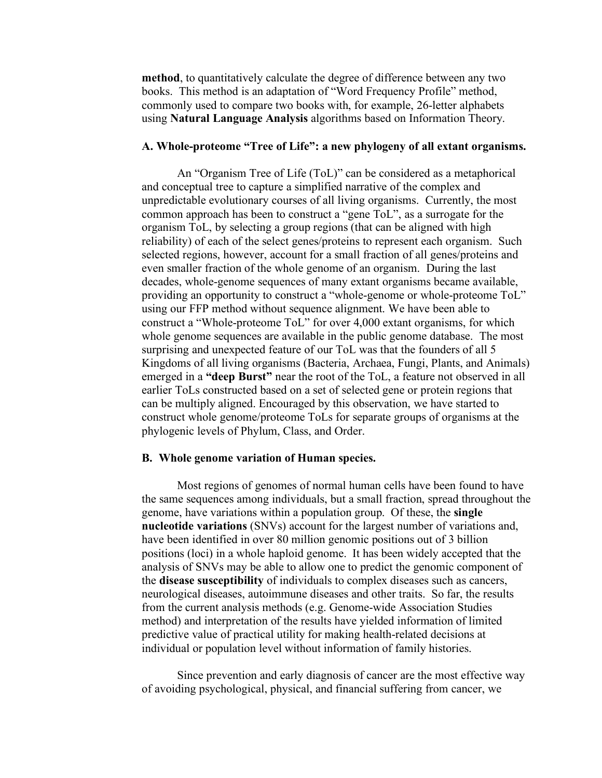**method**, to quantitatively calculate the degree of difference between any two books. This method is an adaptation of "Word Frequency Profile" method, commonly used to compare two books with, for example, 26-letter alphabets using **Natural Language Analysis** algorithms based on Information Theory.

## **A. Whole-proteome "Tree of Life": a new phylogeny of all extant organisms.**

An "Organism Tree of Life (ToL)" can be considered as a metaphorical and conceptual tree to capture a simplified narrative of the complex and unpredictable evolutionary courses of all living organisms. Currently, the most common approach has been to construct a "gene ToL", as a surrogate for the organism ToL, by selecting a group regions (that can be aligned with high reliability) of each of the select genes/proteins to represent each organism. Such selected regions, however, account for a small fraction of all genes/proteins and even smaller fraction of the whole genome of an organism. During the last decades, whole-genome sequences of many extant organisms became available, providing an opportunity to construct a "whole-genome or whole-proteome ToL" using our FFP method without sequence alignment. We have been able to construct a "Whole-proteome ToL" for over 4,000 extant organisms, for which whole genome sequences are available in the public genome database. The most surprising and unexpected feature of our ToL was that the founders of all 5 Kingdoms of all living organisms (Bacteria, Archaea, Fungi, Plants, and Animals) emerged in a **"deep Burst"** near the root of the ToL, a feature not observed in all earlier ToLs constructed based on a set of selected gene or protein regions that can be multiply aligned. Encouraged by this observation, we have started to construct whole genome/proteome ToLs for separate groups of organisms at the phylogenic levels of Phylum, Class, and Order.

## **B. Whole genome variation of Human species.**

Most regions of genomes of normal human cells have been found to have the same sequences among individuals, but a small fraction, spread throughout the genome, have variations within a population group. Of these, the **single nucleotide variations** (SNVs) account for the largest number of variations and, have been identified in over 80 million genomic positions out of 3 billion positions (loci) in a whole haploid genome. It has been widely accepted that the analysis of SNVs may be able to allow one to predict the genomic component of the **disease susceptibility** of individuals to complex diseases such as cancers, neurological diseases, autoimmune diseases and other traits. So far, the results from the current analysis methods (e.g. Genome-wide Association Studies method) and interpretation of the results have yielded information of limited predictive value of practical utility for making health-related decisions at individual or population level without information of family histories.

Since prevention and early diagnosis of cancer are the most effective way of avoiding psychological, physical, and financial suffering from cancer, we